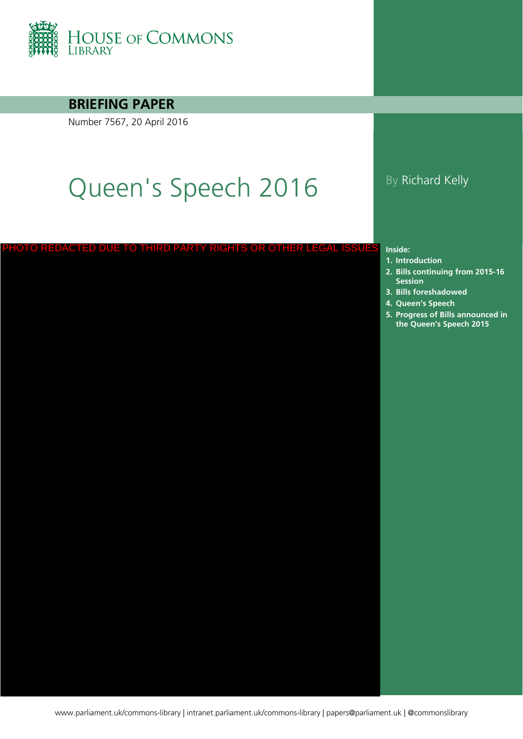

#### **BRIEFING PAPER**

Number 7567, 20 April 2016

# Queen's Speech 2016 By Richard Kelly

#### PHOTO REDACTED DUE TO THIRD PARTY RIGHTS OR OTHER LEGAL ISSUES

#### **Inside:**

- **1. [Introduction](#page-4-0)**
- **2. Bills continuing from 2015-16 Session**
- **3. [Bills foreshadowed](#page-10-0)**
- **4. [Queen's Speech](#page-19-0)**
- **5. Progress of Bills announced in the Queen's Speech 2015**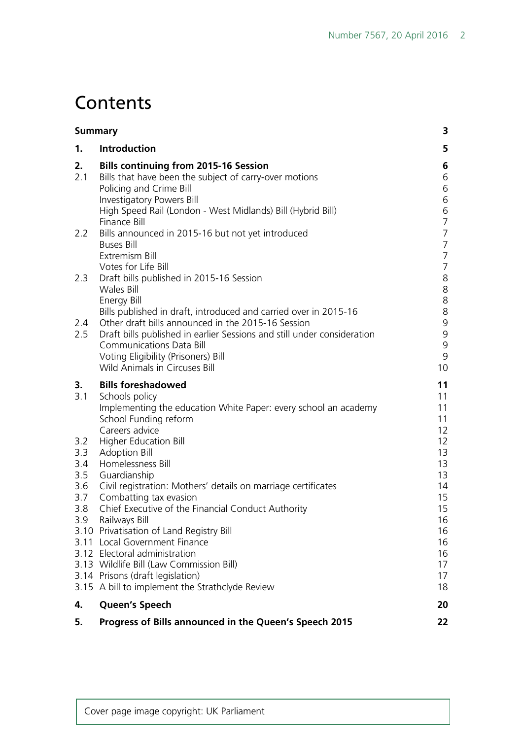# **Contents**

|                          | 3<br><b>Summary</b>                                                                                                                                                                                                                                  |                                                                      |  |
|--------------------------|------------------------------------------------------------------------------------------------------------------------------------------------------------------------------------------------------------------------------------------------------|----------------------------------------------------------------------|--|
| 1.                       | Introduction                                                                                                                                                                                                                                         | 5                                                                    |  |
| 2.<br>2.1                | <b>Bills continuing from 2015-16 Session</b><br>Bills that have been the subject of carry-over motions<br>Policing and Crime Bill<br><b>Investigatory Powers Bill</b><br>High Speed Rail (London - West Midlands) Bill (Hybrid Bill)<br>Finance Bill | 6<br>6<br>6<br>6<br>6<br>$\overline{7}$                              |  |
| 2.2                      | Bills announced in 2015-16 but not yet introduced<br><b>Buses Bill</b><br>Extremism Bill<br>Votes for Life Bill                                                                                                                                      | $\overline{7}$<br>$\overline{7}$<br>$\overline{7}$<br>$\overline{7}$ |  |
| 2.3                      | Draft bills published in 2015-16 Session<br><b>Wales Bill</b><br>Energy Bill<br>Bills published in draft, introduced and carried over in 2015-16                                                                                                     | 8<br>8<br>8<br>8                                                     |  |
| 2.4<br>2.5               | Other draft bills announced in the 2015-16 Session<br>Draft bills published in earlier Sessions and still under consideration<br><b>Communications Data Bill</b><br>Voting Eligibility (Prisoners) Bill<br>Wild Animals in Circuses Bill             | 9<br>9<br>9<br>$\mathsf 9$<br>10                                     |  |
| 3.<br>3.1                | <b>Bills foreshadowed</b><br>Schools policy<br>Implementing the education White Paper: every school an academy<br>School Funding reform<br>Careers advice                                                                                            | 11<br>11<br>11<br>11<br>12                                           |  |
| 3.2<br>3.3<br>3.4<br>3.5 | Higher Education Bill<br><b>Adoption Bill</b><br>Homelessness Bill<br>Guardianship                                                                                                                                                                   | 12<br>13<br>13<br>13                                                 |  |
| 3.6<br>3.7<br>3.8        | Civil registration: Mothers' details on marriage certificates<br>Combatting tax evasion<br>Chief Executive of the Financial Conduct Authority<br>3.9 Railways Bill<br>3.10 Privatisation of Land Registry Bill                                       | 14<br>15<br>15<br>16<br>16                                           |  |
|                          | 3.11 Local Government Finance<br>3.12 Electoral administration<br>3.13 Wildlife Bill (Law Commission Bill)<br>3.14 Prisons (draft legislation)                                                                                                       | 16<br>16<br>17<br>17                                                 |  |
|                          |                                                                                                                                                                                                                                                      | 18                                                                   |  |
| 4.                       | 3.15 A bill to implement the Strathclyde Review<br><b>Queen's Speech</b>                                                                                                                                                                             | 20                                                                   |  |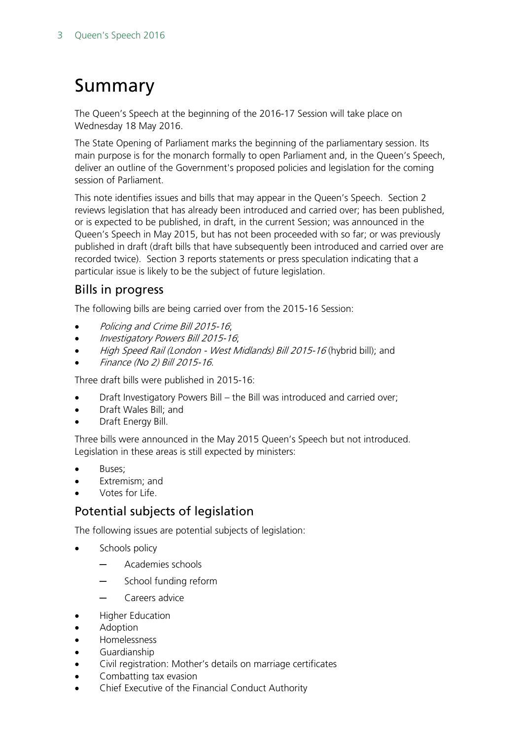# <span id="page-2-0"></span>Summary

The Queen's Speech at the beginning of the 2016-17 Session will take place on Wednesday 18 May 2016.

The State Opening of Parliament marks the beginning of the parliamentary session. Its main purpose is for the monarch formally to open Parliament and, in the Queen's Speech, deliver an outline of the Government's proposed policies and legislation for the coming session of Parliament.

This note identifies issues and bills that may appear in the Queen's Speech. Section 2 reviews legislation that has already been introduced and carried over; has been published, or is expected to be published, in draft, in the current Session; was announced in the Queen's Speech in May 2015, but has not been proceeded with so far; or was previously published in draft (draft bills that have subsequently been introduced and carried over are recorded twice). Section 3 reports statements or press speculation indicating that a particular issue is likely to be the subject of future legislation.

### Bills in progress

The following bills are being carried over from the 2015-16 Session:

- Policing and Crime Bill 2015-16;
- Investigatory Powers Bill 2015-16;
- High Speed Rail (London West Midlands) Bill 2015-16 (hybrid bill); and
- Finance (No 2) Bill 2015-16.

Three draft bills were published in 2015-16:

- Draft Investigatory Powers Bill the Bill was introduced and carried over;
- Draft Wales Bill; and
- Draft Energy Bill.

Three bills were announced in the May 2015 Queen's Speech but not introduced. Legislation in these areas is still expected by ministers:

- Buses:
- Extremism; and
- Votes for Life.

### Potential subjects of legislation

The following issues are potential subjects of legislation:

- Schools policy
	- ─ Academies schools
	- School funding reform
	- ─ Careers advice
- Higher Education
- **Adoption**
- Homelessness
- Guardianship
- Civil registration: Mother's details on marriage certificates
- Combatting tax evasion
- Chief Executive of the Financial Conduct Authority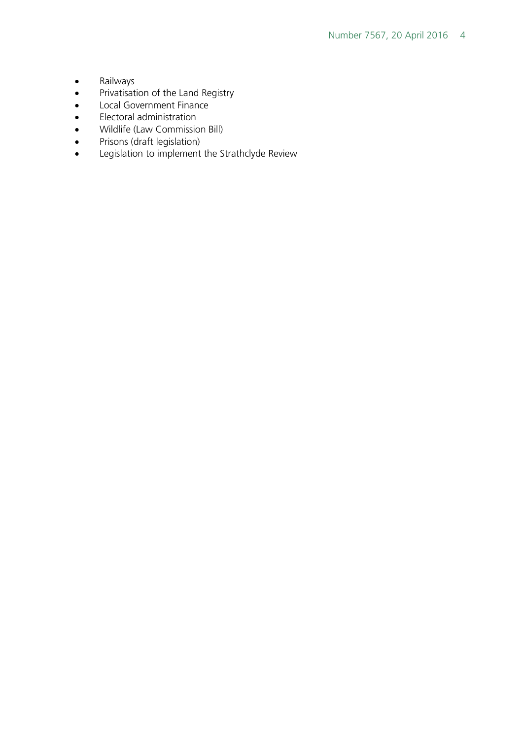- Railways
- Privatisation of the Land Registry
- Local Government Finance
- Electoral administration
- Wildlife (Law Commission Bill)
- Prisons (draft legislation)
- Legislation to implement the Strathclyde Review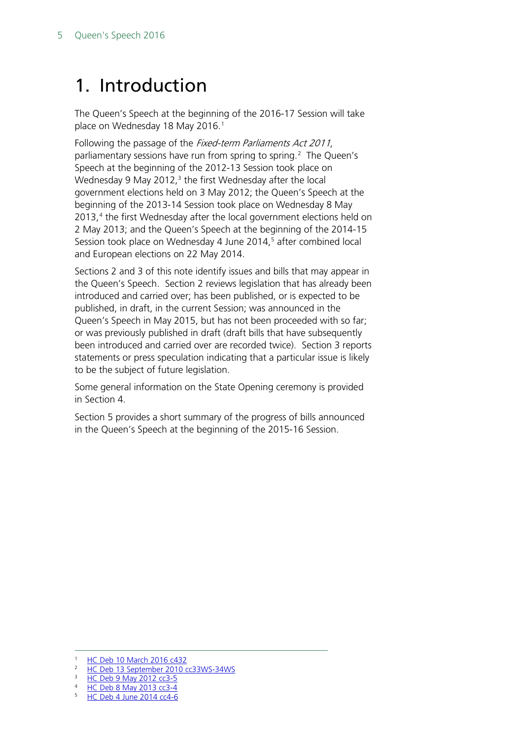# <span id="page-4-0"></span>1. Introduction

The Queen's Speech at the beginning of the 2016-17 Session will take place on Wednesday [1](#page-4-1)8 May 2016.<sup>1</sup>

Following the passage of the *Fixed-term Parliaments Act 2011*, parliamentary sessions have run from spring to spring.<sup>[2](#page-4-2)</sup> The Queen's Speech at the beginning of the 2012-13 Session took place on Wednesday 9 May 2012, $3$  the first Wednesday after the local government elections held on 3 May 2012; the Queen's Speech at the beginning of the 2013-14 Session took place on Wednesday 8 May 2013,<sup>[4](#page-4-4)</sup> the first Wednesday after the local government elections held on 2 May 2013; and the Queen's Speech at the beginning of the 2014-15 Session took place on Wednesday 4 June 2014, [5](#page-4-5) after combined local and European elections on 22 May 2014.

Sections 2 and 3 of this note identify issues and bills that may appear in the Queen's Speech. Section 2 reviews legislation that has already been introduced and carried over; has been published, or is expected to be published, in draft, in the current Session; was announced in the Queen's Speech in May 2015, but has not been proceeded with so far; or was previously published in draft (draft bills that have subsequently been introduced and carried over are recorded twice). Section 3 reports statements or press speculation indicating that a particular issue is likely to be the subject of future legislation.

Some general information on the State Opening ceremony is provided in Section 4.

Section 5 provides a short summary of the progress of bills announced in the Queen's Speech at the beginning of the 2015-16 Session.

<span id="page-4-1"></span> <sup>1</sup> [HC Deb 10 March 2016 c432](http://www.publications.parliament.uk/pa/cm201516/cmhansrd/cm160310/debtext/160310-0001.htm#16031040000003)

<span id="page-4-2"></span><sup>&</sup>lt;sup>2</sup> [HC Deb 13 September 2010 cc33WS-34WS](http://www.publications.parliament.uk/pa/cm201011/cmhansrd/cm100913/wmstext/100913m0001.htm#1009135000010)

<span id="page-4-3"></span> $\frac{3}{4}$  [HC Deb 9 May 2012 cc3-5](http://www.publications.parliament.uk/pa/cm201213/cmhansrd/cm120509/debtext/120509-0001.htm#12050914000002)

<span id="page-4-5"></span><span id="page-4-4"></span><sup>&</sup>lt;sup>4</sup> [HC Deb 8 May 2013 cc3-4](http://www.publications.parliament.uk/pa/cm201314/cmhansrd/cm130508/debtext/130508-0001.htm#13050835000002)

<sup>5</sup> HC Deb 4 [June 2014 cc4-6](http://www.publications.parliament.uk/pa/cm201415/cmhansrd/cm140604/debtext/140604-0001.htm#14060429000003)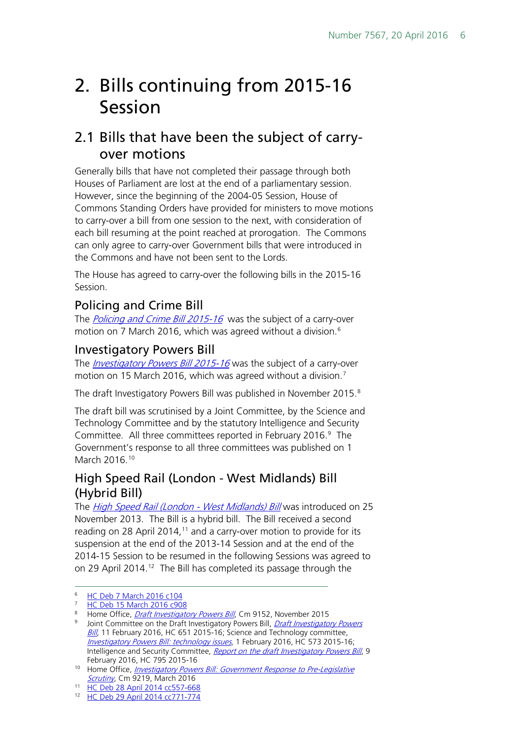# <span id="page-5-0"></span>2. Bills continuing from 2015-16 Session

# <span id="page-5-1"></span>2.1 Bills that have been the subject of carryover motions

Generally bills that have not completed their passage through both Houses of Parliament are lost at the end of a parliamentary session. However, since the beginning of the 2004-05 Session, House of Commons Standing Orders have provided for ministers to move motions to carry-over a bill from one session to the next, with consideration of each bill resuming at the point reached at prorogation. The Commons can only agree to carry-over Government bills that were introduced in the Commons and have not been sent to the Lords.

The House has agreed to carry-over the following bills in the 2015-16 Session.

### <span id="page-5-2"></span>Policing and Crime Bill

The *[Policing and Crime Bill](http://services.parliament.uk/bills/2015-16/policingandcrime.html) 2015-16* was the subject of a carry-over motion on 7 March 2016, which was agreed without a division.<sup>6</sup>

#### <span id="page-5-3"></span>Investigatory Powers Bill

The *[Investigatory Powers Bill](http://services.parliament.uk/bills/2015-16/investigatorypowers.html) 2015-16* was the subject of a carry-over motion on 15 March 2016, which was agreed without a division.<sup>[7](#page-5-6)</sup>

The draft Investigatory Powers Bill was published in November 2015.<sup>[8](#page-5-7)</sup>

The draft bill was scrutinised by a Joint Committee, by the Science and Technology Committee and by the statutory Intelligence and Security Committee. All three committees reported in February 2016.<sup>9</sup> The Government's response to all three committees was published on 1 March 2016.<sup>[10](#page-5-9)</sup>

#### <span id="page-5-4"></span>High Speed Rail (London - West Midlands) Bill (Hybrid Bill)

The [High Speed Rail \(London -](http://services.parliament.uk/bills/2013-14/highspeedraillondonwestmidlands.html) West Midlands) Bill was introduced on 25 November 2013. The Bill is a hybrid bill. The Bill received a second reading on 28 April 2014,<sup>[11](#page-5-10)</sup> and a carry-over motion to provide for its suspension at the end of the 2013-14 Session and at the end of the 2014-15 Session to be resumed in the following Sessions was agreed to on 29 April 2014.<sup>12</sup> The Bill has completed its passage through the

<span id="page-5-6"></span><span id="page-5-5"></span> <sup>6</sup> [HC Deb 7 March 2016 c104](http://www.publications.parliament.uk/pa/cm201516/cmhansrd/cm160307/debtext/160307-0003.htm#16030736000008)

[HC Deb 15 March 2016 c908](http://www.publications.parliament.uk/pa/cm201516/cmhansrd/cm160315/debtext/160315-0004.htm#16031573000006)

<span id="page-5-7"></span><sup>&</sup>lt;sup>8</sup> Home Office, *[Draft Investigatory Powers Bill](https://www.gov.uk/government/publications/draft-investigatory-powers-bill)*, Cm 9152, November 2015

<span id="page-5-8"></span><sup>&</sup>lt;sup>9</sup> Joint Committee on the [Draft Investigatory Powers](http://www.publications.parliament.uk/pa/jt201516/jtselect/jtinvpowers/93/93.pdf) Bill, *Draft Investigatory Powers* [Bill](http://www.publications.parliament.uk/pa/jt201516/jtselect/jtinvpowers/93/93.pdf), 11 February 2016, HC 651 2015-16; Science and Technology committee, [Investigatory Powers Bill: technology issues](http://www.publications.parliament.uk/pa/cm201516/cmselect/cmsctech/573/573.pdf), 1 February 2016, HC 573 2015-16; Intelligence and Security Committee, [Report on the draft Investigatory Powers Bill](https://b1cba9b3-a-5e6631fd-s-sites.googlegroups.com/a/independent.gov.uk/isc/files/20160209_ISC_Rpt_IPBill%28web%29.pdf?attachauth=ANoY7crTk3tbLZvdVse2iRSKBMTNaDN6PhVGpHjRFidDyhN8Rta3gWyaPgYDOPwKSY2cCv04WdJmBqT2OIazyLtLbeJdEDGJ2gePZySeNtftEQpMdbxbNSkm5ietB6ZJHKzWPCGwP9BVKQ60dhfMfXFxrG1bQu965iOH-YtlXjPWFwphjHLq0Wxo7LgQSVDnVWFP0olZ2F3szdzPW6Y3f6hMqK_t9dBEkT2oEdRtBMbiE2BXRrW0JeAjGjF2Bw_Y2ib_qLgtpBRW&attredirects=0), 9 February 2016, HC 795 2015-16

<span id="page-5-9"></span><sup>&</sup>lt;sup>10</sup> Home Office, *Investigatory Powers Bill: Government Response to Pre-Legislative Scrutiny*, Cm 9219, March 2016

<span id="page-5-11"></span><span id="page-5-10"></span><sup>11</sup> [HC Deb 28 April 2014 cc557-668](http://www.publications.parliament.uk/pa/cm201314/cmhansrd/cm140428/debtext/140428-0002.htm#1404283000001)

<sup>12</sup> [HC Deb 29 April 2014 cc771-774](http://www.publications.parliament.uk/pa/cm201314/cmhansrd/cm140429/debtext/140429-0003.htm#14042952000004)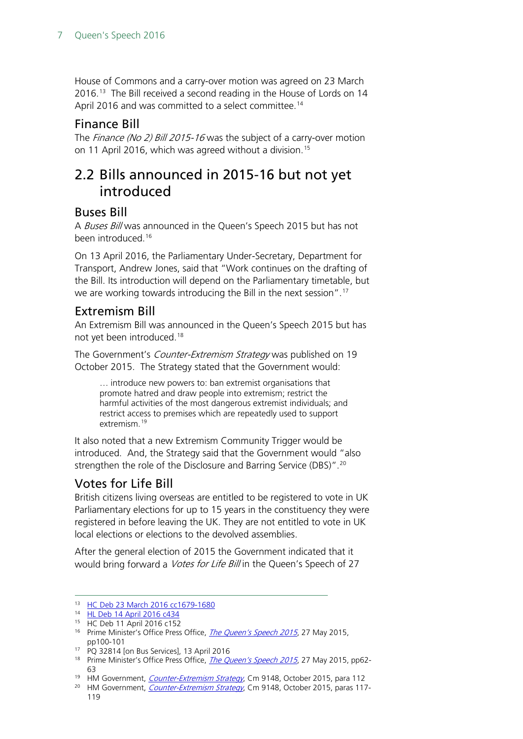House of Commons and a carry-over motion was agreed on 23 March 2016.<sup>[13](#page-6-5)</sup> The Bill received a second reading in the House of Lords on 14 April 2016 and was committed to a select committee.<sup>[14](#page-6-6)</sup>

#### <span id="page-6-0"></span>Finance Bill

The *Finance (No 2) Bill 2015-16* was the subject of a carry-over motion on 11 April 2016, which was agreed without a division.<sup>[15](#page-6-7)</sup>

# <span id="page-6-1"></span>2.2 Bills announced in 2015-16 but not yet introduced

#### <span id="page-6-2"></span>Buses Bill

A Buses Bill was announced in the Queen's Speech 2015 but has not been introduced.[16](#page-6-8)

On 13 April 2016, the Parliamentary Under-Secretary, Department for Transport, Andrew Jones, said that "Work continues on the drafting of the Bill. Its introduction will depend on the Parliamentary timetable, but we are working towards introducing the Bill in the next session".[17](#page-6-9)

#### <span id="page-6-3"></span>Extremism Bill

An Extremism Bill was announced in the Queen's Speech 2015 but has not yet been introduced.[18](#page-6-10)

The Government's *Counter-Extremism Strategy* was published on 19 October 2015. The Strategy stated that the Government would:

… introduce new powers to: ban extremist organisations that promote hatred and draw people into extremism; restrict the harmful activities of the most dangerous extremist individuals; and restrict access to premises which are repeatedly used to support extremism.<sup>[19](#page-6-11)</sup>

It also noted that a new Extremism Community Trigger would be introduced. And, the Strategy said that the Government would "also strengthen the role of the Disclosure and Barring Service (DBS)".<sup>[20](#page-6-12)</sup>

### <span id="page-6-4"></span>Votes for Life Bill

British citizens living overseas are entitled to be registered to vote in UK Parliamentary elections for up to 15 years in the constituency they were registered in before leaving the UK. They are not entitled to vote in UK local elections or elections to the devolved assemblies.

After the general election of 2015 the Government indicated that it would bring forward a *Votes for Life Bill* in the Queen's Speech of 27

- 
- <span id="page-6-10"></span><span id="page-6-9"></span><sup>18</sup> Prime Minister's Office Press Office, *[The Queen's Speech 2015](https://www.gov.uk/government/uploads/system/uploads/attachment_data/file/430149/QS_lobby_pack_FINAL_NEW_2.pdf)*, 27 May 2015, pp62-63
- <sup>19</sup> HM Government, *[Counter-Extremism Strategy](https://www.gov.uk/government/uploads/system/uploads/attachment_data/file/470088/51859_Cm9148_Accessible.pdf)*, Cm 9148, October 2015, para 112
- <span id="page-6-12"></span><span id="page-6-11"></span><sup>20</sup> HM Government, [Counter-Extremism Strategy](https://www.gov.uk/government/uploads/system/uploads/attachment_data/file/470088/51859_Cm9148_Accessible.pdf), Cm 9148, October 2015, paras 117-119

<span id="page-6-6"></span><span id="page-6-5"></span><sup>13</sup> [HC Deb 23 March 2016 cc1679-1680](http://www.publications.parliament.uk/pa/cm201516/cmhansrd/cm160323/debtext/160323-0004.htm#16032342000006)

<sup>14</sup> [HL Deb 14 April 2016 c434](https://hansard.parliament.uk/lords/2016-04-14/debates/16041441000268/HighSpeedRail(London-WestMidlands)Bill)

<span id="page-6-7"></span><sup>15</sup> HC Deb 11 April 2016 c152

<span id="page-6-8"></span><sup>&</sup>lt;sup>16</sup> Prime Minister's Office Press Office, *[The Queen's Speech 2015](https://www.gov.uk/government/uploads/system/uploads/attachment_data/file/430149/QS_lobby_pack_FINAL_NEW_2.pdf)*, 27 May 2015, pp100-101<br><sup>17</sup> PQ 32814 [on Bus Services], 13 April 2016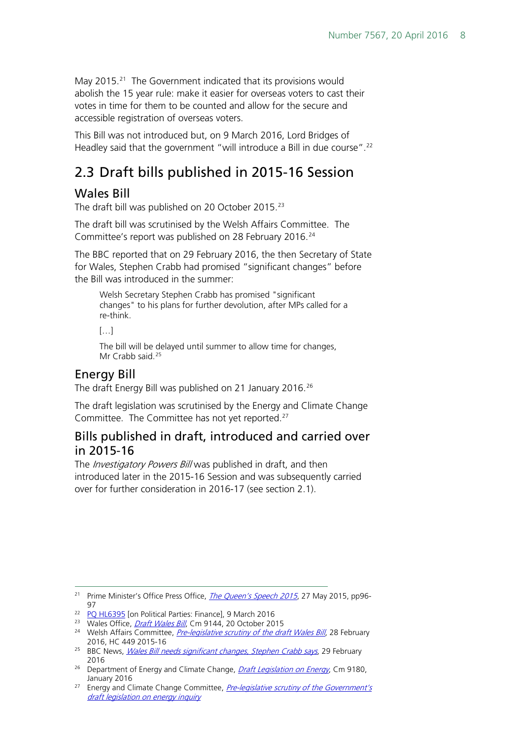May 2015.<sup>[21](#page-7-4)</sup> The Government indicated that its provisions would abolish the 15 year rule: make it easier for overseas voters to cast their votes in time for them to be counted and allow for the secure and accessible registration of overseas voters.

This Bill was not introduced but, on 9 March 2016, Lord Bridges of Headley said that the government "will introduce a Bill in due course".[22](#page-7-5)

# <span id="page-7-0"></span>2.3 Draft bills published in 2015-16 Session

#### <span id="page-7-1"></span>Wales Bill

The draft bill was published on 20 October 2015.<sup>[23](#page-7-6)</sup>

The draft bill was scrutinised by the Welsh Affairs Committee. The Committee's report was published on 28 February 2016.<sup>24</sup>

The BBC reported that on 29 February 2016, the then Secretary of State for Wales, Stephen Crabb had promised "significant changes" before the Bill was introduced in the summer:

Welsh Secretary Stephen Crabb has promised "significant changes" to his plans for further devolution, after MPs called for a re-think.

[…]

The bill will be delayed until summer to allow time for changes, Mr Crabb said.<sup>[25](#page-7-8)</sup>

#### <span id="page-7-2"></span>Energy Bill

The draft Energy Bill was published on 21 January 2016.<sup>[26](#page-7-9)</sup>

The draft legislation was scrutinised by the Energy and Climate Change Committee. The Committee has not yet reported[.27](#page-7-10)

#### <span id="page-7-3"></span>Bills published in draft, introduced and carried over in 2015-16

The *Investigatory Powers Bill* was published in draft, and then introduced later in the 2015-16 Session and was subsequently carried over for further consideration in 2016-17 (see section 2.1).

<span id="page-7-4"></span><sup>&</sup>lt;sup>21</sup> Prime Minister's Office Press Office, *[The Queen's Speech 2015](https://www.gov.uk/government/uploads/system/uploads/attachment_data/file/430149/QS_lobby_pack_FINAL_NEW_2.pdf)*, 27 May 2015, pp96-- Q. 7

<span id="page-7-5"></span><sup>&</sup>lt;sup>22</sup> [PQ HL6395](http://www.parliament.uk/written-questions-answers-statements/written-question/lords/2016-02-24/HL6395) [on Political Parties: Finance], 9 March 2016<br><sup>23</sup> Wales Office, *Draft Wales Bill*, Cm 9144, 20 October 2015

<span id="page-7-7"></span><span id="page-7-6"></span><sup>&</sup>lt;sup>24</sup> Welsh Affairs Committee[,](https://www.gov.uk/government/publications/draft-wales-bill-bil-cymru-drafft) *[Pre-legislative scrutiny of the draft Wales Bill](http://www.publications.parliament.uk/pa/cm201516/cmselect/cmwelaf/449/449.pdf)*, 28 February 2016, HC 449 2015-16

<span id="page-7-8"></span><sup>&</sup>lt;sup>25</sup> BBC News, *[Wales Bill needs significant changes, Stephen Crabb says](http://www.bbc.co.uk/news/uk-wales-politics-35685623)*, 29 February 2016

<span id="page-7-9"></span><sup>&</sup>lt;sup>26</sup> Department of Energy and Climate Change, *[Draft Legislation on Energy](https://www.gov.uk/government/uploads/system/uploads/attachment_data/file/493848/Draft_Legislation_on_Energy.pdf)*, Cm 9180, January 2016

<span id="page-7-10"></span><sup>&</sup>lt;sup>27</sup> Energy and Climate Change Committee, *Pre-legislative scrutiny of the Government's* [draft legislation on energy inquiry](http://www.parliament.uk/business/committees/committees-a-z/commons-select/energy-and-climate-change-committee/inquiries/parliament-2015/pre-legislative-energy-15-16/)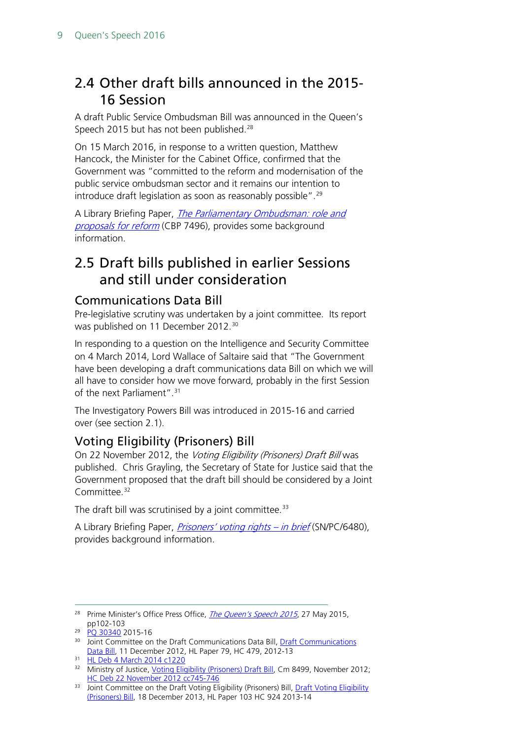# <span id="page-8-0"></span>2.4 Other draft bills announced in the 2015- 16 Session

A draft Public Service Ombudsman Bill was announced in the Queen's Speech 2015 but has not been published.<sup>[28](#page-8-4)</sup>

On 15 March 2016, in response to a written question, Matthew Hancock, the Minister for the Cabinet Office, confirmed that the Government was "committed to the reform and modernisation of the public service ombudsman sector and it remains our intention to introduce draft legislation as soon as reasonably possible". [29](#page-8-5)

A Library Briefing Paper, *The Parliamentary Ombudsman: role and* [proposals for reform](http://researchbriefings.parliament.uk/ResearchBriefing/Summary/CBP-7496) (CBP 7496), provides some background information.

# <span id="page-8-1"></span>2.5 Draft bills published in earlier Sessions and still under consideration

#### <span id="page-8-2"></span>Communications Data Bill

Pre-legislative scrutiny was undertaken by a joint committee. Its report was published on 11 December 2012.<sup>[30](#page-8-6)</sup>

In responding to a question on the Intelligence and Security Committee on 4 March 2014, Lord Wallace of Saltaire said that "The Government have been developing a draft communications data Bill on which we will all have to consider how we move forward, probably in the first Session of the next Parliament".<sup>[31](#page-8-7)</sup>

The Investigatory Powers Bill was introduced in 2015-16 and carried over (see section 2.1).

### <span id="page-8-3"></span>Voting Eligibility (Prisoners) Bill

On 22 November 2012, the Voting Eligibility (Prisoners) Draft Bill was published. Chris Grayling, the Secretary of State for Justice said that the Government proposed that the draft bill should be considered by a Joint Committee.<sup>[32](#page-8-8)</sup>

The draft bill was scrutinised by a joint committee.<sup>[33](#page-8-9)</sup>

A Library Briefing Paper, *[Prisoners' voting rights –](http://www.parliament.uk/briefing-papers/SN06480) in brief* (SN/PC/6480), provides background information.

<span id="page-8-4"></span><sup>&</sup>lt;sup>28</sup> Prime Minister's Office Press Office, *[The Queen's Speech 2015](https://www.gov.uk/government/uploads/system/uploads/attachment_data/file/430149/QS_lobby_pack_FINAL_NEW_2.pdf)*, 27 May 2015, pp102-103

<span id="page-8-5"></span><sup>&</sup>lt;sup>29</sup> [PQ 30340](http://www.parliament.uk/written-questions-answers-statements/written-question/commons/2016-03-08/30340) 2015-16

<span id="page-8-6"></span><sup>&</sup>lt;sup>30</sup> Joint Committee on the [Draft Communications](http://www.publications.parliament.uk/pa/jt201213/jtselect/jtdraftcomuni/79/79.pdf) Data Bill, **Draft Communications** [Data Bill,](http://www.publications.parliament.uk/pa/jt201213/jtselect/jtdraftcomuni/79/79.pdf) 11 December 2012, HL Paper 79, HC 479, 2012-13

<span id="page-8-7"></span><sup>31</sup> [HL Deb 4 March 2014 c1220](http://www.publications.parliament.uk/pa/ld201314/ldhansrd/text/140304-0001.htm#14030462000051)

<span id="page-8-8"></span><sup>&</sup>lt;sup>32</sup> Ministry of Justice, *Voting Eligibility (Prisoners) Draft Bill*, Cm 8499, November 2012; [HC Deb 22 November 2012 cc745-746](http://www.publications.parliament.uk/pa/cm201213/cmhansrd/cm121122/debtext/121122-0002.htm#12112237000006)

<span id="page-8-9"></span><sup>&</sup>lt;sup>33</sup> Joint Committee on the [Draft Voting Eligibility](http://www.publications.parliament.uk/pa/jt201314/jtselect/jtdraftvoting/103/103.pdf) (Prisoners) Bill, Draft Voting Eligibility [\(Prisoners\) Bill,](http://www.publications.parliament.uk/pa/jt201314/jtselect/jtdraftvoting/103/103.pdf) 18 December 2013, HL Paper 103 HC 924 2013-14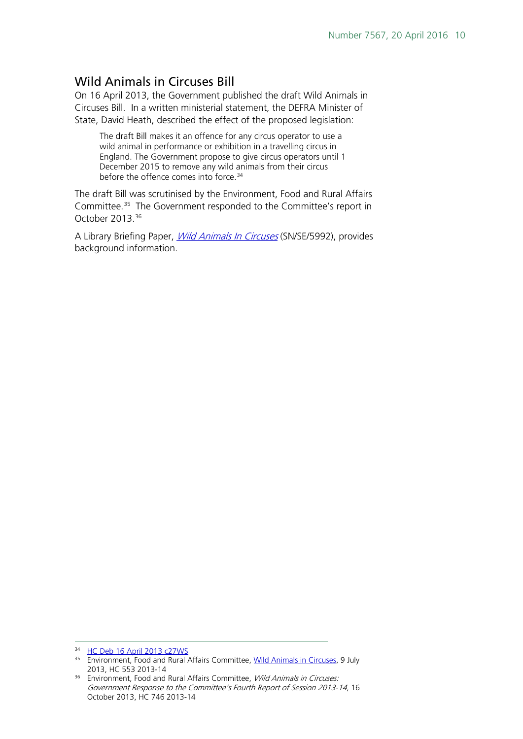#### <span id="page-9-0"></span>Wild Animals in Circuses Bill

On 16 April 2013, the Government published the draft Wild Animals in Circuses Bill. In a written ministerial statement, the DEFRA Minister of State, David Heath, described the effect of the proposed legislation:

The draft Bill makes it an offence for any circus operator to use a wild animal in performance or exhibition in a travelling circus in England. The Government propose to give circus operators until 1 December 2015 to remove any wild animals from their circus before the offence comes into force.<sup>[34](#page-9-1)</sup>

The draft Bill was scrutinised by the Environment, Food and Rural Affairs Committee.[35](#page-9-2) The Government responded to the Committee's report in October 2013.[36](#page-9-3)

A Library Briefing Paper, [Wild Animals In Circuses](http://www.parliament.uk/business/publications/research/briefing-papers/SN05992/wild-animals-in-circuses) (SN/SE/5992), provides background information.

 <sup>34</sup> [HC Deb 16 April 2013 c27WS](http://www.publications.parliament.uk/pa/cm201213/cmhansrd/cm130416/wmstext/130416m0001.htm#13041623000009)

<span id="page-9-2"></span><span id="page-9-1"></span><sup>&</sup>lt;sup>35</sup> Environment, Food and Rural Affairs Committee, [Wild Animals in Circuses,](http://www.publications.parliament.uk/pa/cm201314/cmselect/cmenvfru/553/553.pdf) 9 July 2013, HC 553 2013-14

<span id="page-9-3"></span><sup>&</sup>lt;sup>36</sup> Environment, Food and Rural Affairs Committee, *Wild Animals in Circuses:* Government Response to the Committee's Fourth Report of Session 2013-14, 16 October 2013, HC 746 2013-14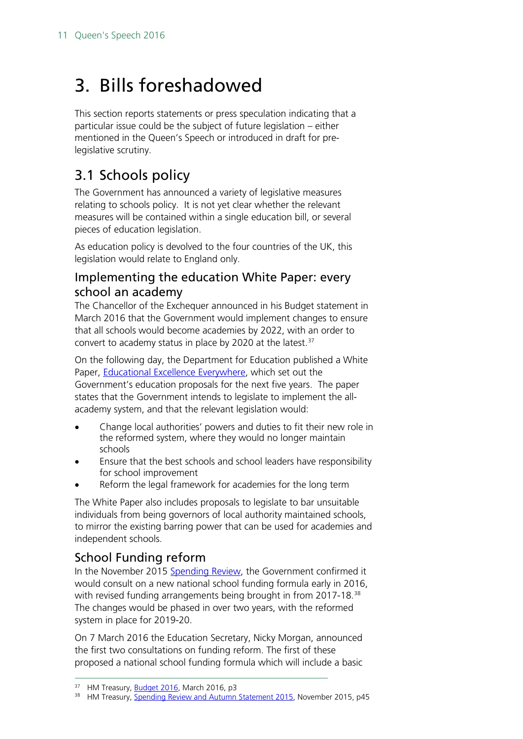# <span id="page-10-0"></span>3. Bills foreshadowed

This section reports statements or press speculation indicating that a particular issue could be the subject of future legislation – either mentioned in the Queen's Speech or introduced in draft for prelegislative scrutiny.

# <span id="page-10-1"></span>3.1 Schools policy

The Government has announced a variety of legislative measures relating to schools policy. It is not yet clear whether the relevant measures will be contained within a single education bill, or several pieces of education legislation.

As education policy is devolved to the four countries of the UK, this legislation would relate to England only.

#### <span id="page-10-2"></span>Implementing the education White Paper: every school an academy

The Chancellor of the Exchequer announced in his Budget statement in March 2016 that the Government would implement changes to ensure that all schools would become academies by 2022, with an order to convert to academy status in place by 2020 at the latest. $37$ 

On the following day, the Department for Education published a White Paper, [Educational Excellence Everywhere,](https://www.gov.uk/government/publications/educational-excellence-everywhere) which set out the Government's education proposals for the next five years. The paper states that the Government intends to legislate to implement the allacademy system, and that the relevant legislation would:

- Change local authorities' powers and duties to fit their new role in the reformed system, where they would no longer maintain schools
- Ensure that the best schools and school leaders have responsibility for school improvement
- Reform the legal framework for academies for the long term

The White Paper also includes proposals to legislate to bar unsuitable individuals from being governors of local authority maintained schools, to mirror the existing barring power that can be used for academies and independent schools.

### <span id="page-10-3"></span>School Funding reform

In the November 2015 [Spending Review,](https://www.gov.uk/government/publications/spending-review-and-autumn-statement-2015-documents) the Government confirmed it would consult on a new national school funding formula early in 2016, with revised funding arrangements being brought in from 2017-18.<sup>38</sup> The changes would be phased in over two years, with the reformed system in place for 2019-20.

On 7 March 2016 the Education Secretary, Nicky Morgan, announced the first two consultations on funding reform. The first of these proposed a national school funding formula which will include a basic

<span id="page-10-4"></span><sup>&</sup>lt;sup>37</sup> HM Treasury, **Budget 2016**, March 2016, p3

<span id="page-10-5"></span><sup>&</sup>lt;sup>38</sup> HM Treasury, **Spending Review [and Autumn Statement](https://www.gov.uk/government/uploads/system/uploads/attachment_data/file/479749/52229_Blue_Book_PU1865_Web_Accessible.pdf) 2015, November 2015, p45**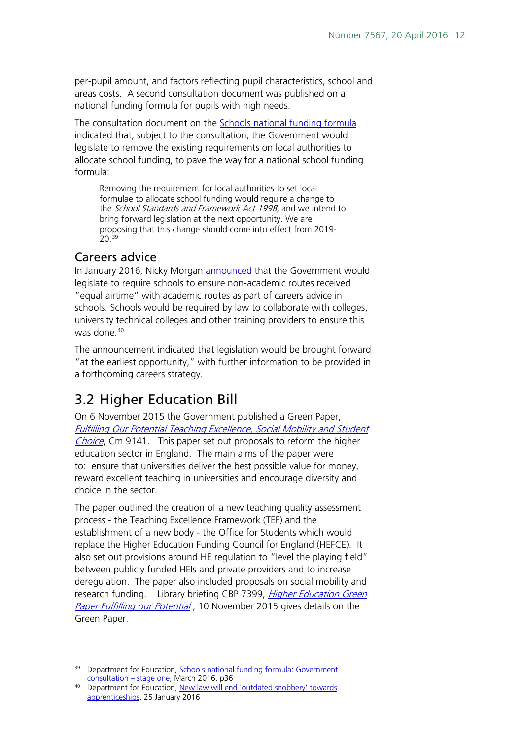per-pupil amount, and factors reflecting pupil characteristics, school and areas costs. A second consultation document was published on a national funding formula for pupils with high needs.

The consultation document on the [Schools national funding formula](https://consult.education.gov.uk/funding-policy-unit/schools-national-funding-formula) indicated that, subject to the consultation, the Government would legislate to remove the existing requirements on local authorities to allocate school funding, to pave the way for a national school funding formula:

Removing the requirement for local authorities to set local formulae to allocate school funding would require a change to the School Standards and Framework Act 1998, and we intend to bring forward legislation at the next opportunity. We are proposing that this change should come into effect from 2019- 20.[39](#page-11-2)

#### <span id="page-11-0"></span>Careers advice

In January 2016, Nicky Morgan **announced** that the Government would legislate to require schools to ensure non-academic routes received "equal airtime" with academic routes as part of careers advice in schools. Schools would be required by law to collaborate with colleges, university technical colleges and other training providers to ensure this was done.<sup>[40](#page-11-3)</sup>

The announcement indicated that legislation would be brought forward "at the earliest opportunity," with further information to be provided in a forthcoming careers strategy.

# <span id="page-11-1"></span>3.2 Higher Education Bill

On 6 November 2015 the Government published a Green Paper, [Fulfilling Our Potential Teaching Excellence, Social Mobility and Student](https://www.gov.uk/government/uploads/system/uploads/attachment_data/file/474266/BIS-15-623-fulfilling-our-potential-teaching-excellence-social-mobility-and-student-choice-accessible.pdf)  [Choice](https://www.gov.uk/government/uploads/system/uploads/attachment_data/file/474266/BIS-15-623-fulfilling-our-potential-teaching-excellence-social-mobility-and-student-choice-accessible.pdf), Cm 9141. This paper set out proposals to reform the higher education sector in England. The main aims of the paper were to: ensure that universities deliver the best possible value for money, reward excellent teaching in universities and encourage diversity and choice in the sector.

The paper outlined the creation of a new teaching quality assessment process - the Teaching Excellence Framework (TEF) and the establishment of a new body - the Office for Students which would replace the Higher Education Funding Council for England (HEFCE). It also set out provisions around HE regulation to "level the playing field" between publicly funded HEIs and private providers and to increase deregulation. The paper also included proposals on social mobility and research funding. Library briefing CBP 7399, *Higher Education Green* [Paper Fulfilling our Potential](http://researchbriefings.files.parliament.uk/documents/CBP-7399/CBP-7399.pdf), 10 November 2015 gives details on the Green Paper.

<span id="page-11-2"></span><sup>&</sup>lt;sup>39</sup> Department for Education, Schools national funding formula: Government [consultation –](https://consult.education.gov.uk/funding-policy-unit/schools-national-funding-formula/supporting_documents/Schools_NFF_consultation.pdf) stage one, March 2016, p36

<span id="page-11-3"></span><sup>&</sup>lt;sup>40</sup> Department for Education, New law will end 'outdated snobbery' towards [apprenticeships,](https://www.gov.uk/government/news/new-law-will-end-outdated-snobbery-towards-apprenticeships) 25 January 2016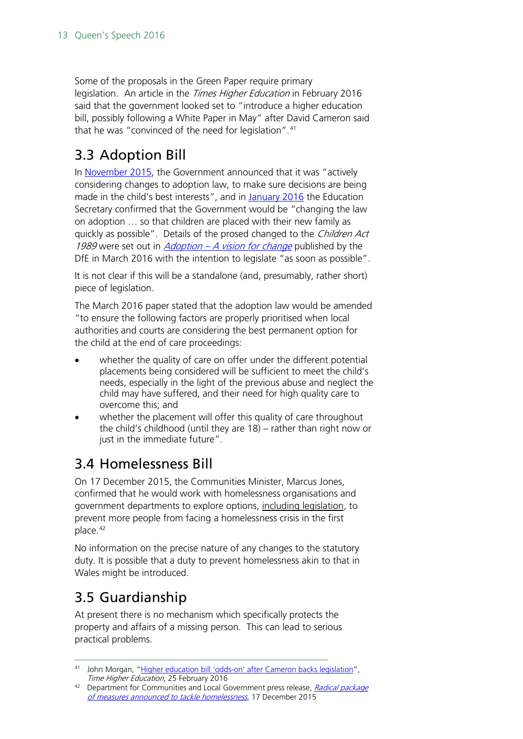Some of the proposals in the Green Paper require primary legislation. An article in the *Times Higher Education* in February 2016 said that the government looked set to "introduce a higher education bill, possibly following a White Paper in May" after David Cameron said that he was "convinced of the need for legislation". [41](#page-12-3)

# <span id="page-12-0"></span>3.3 Adoption Bill

In [November 2015,](https://www.gov.uk/government/news/pm-unveils-drive-to-increase-adoptions-and-cut-unacceptable-delays) the Government announced that it was "actively considering changes to adoption law, to make sure decisions are being made in the child's best interests", and in [January 2016](https://www.gov.uk/government/news/education-secretary-unveils-plans-to-change-adoption-law) the Education Secretary confirmed that the Government would be "changing the law on adoption … so that children are placed with their new family as quickly as possible". Details of the prosed changed to the Children Act 1989 were set out in Adoption – [A vision for change](https://www.gov.uk/government/uploads/system/uploads/attachment_data/file/512826/Adoption_Policy_Paper_30_March_2016.pdf) published by the DfE in March 2016 with the intention to legislate "as soon as possible".

It is not clear if this will be a standalone (and, presumably, rather short) piece of legislation.

The March 2016 paper stated that the adoption law would be amended "to ensure the following factors are properly prioritised when local authorities and courts are considering the best permanent option for the child at the end of care proceedings:

- whether the quality of care on offer under the different potential placements being considered will be sufficient to meet the child's needs, especially in the light of the previous abuse and neglect the child may have suffered, and their need for high quality care to overcome this; and
- whether the placement will offer this quality of care throughout the child's childhood (until they are 18) – rather than right now or just in the immediate future".

# <span id="page-12-1"></span>3.4 Homelessness Bill

On 17 December 2015, the Communities Minister, Marcus Jones, confirmed that he would work with homelessness organisations and government departments to explore options, including legislation, to prevent more people from facing a homelessness crisis in the first place.[42](#page-12-4)

No information on the precise nature of any changes to the statutory duty. It is possible that a duty to prevent homelessness akin to that in Wales might be introduced.

# <span id="page-12-2"></span>3.5 Guardianship

At present there is no mechanism which specifically protects the property and affairs of a missing person. This can lead to serious practical problems.

<span id="page-12-3"></span><sup>41</sup> John Morgan, ["Higher education bill 'odds-on' after Cameron backs legislation"](https://www.timeshighereducation.com/news/higher-education-bill-odds-after-cameron-backs-legislation),<br>Time Higher Education, 25 February 2016

<span id="page-12-4"></span><sup>&</sup>lt;sup>42</sup> Department for Communities and Local Government press release, Radical package [of measures announced to tackle homelessness](https://www.gov.uk/government/news/radical-package-of-measures-announced-to-tackle-homelessness), 17 December 2015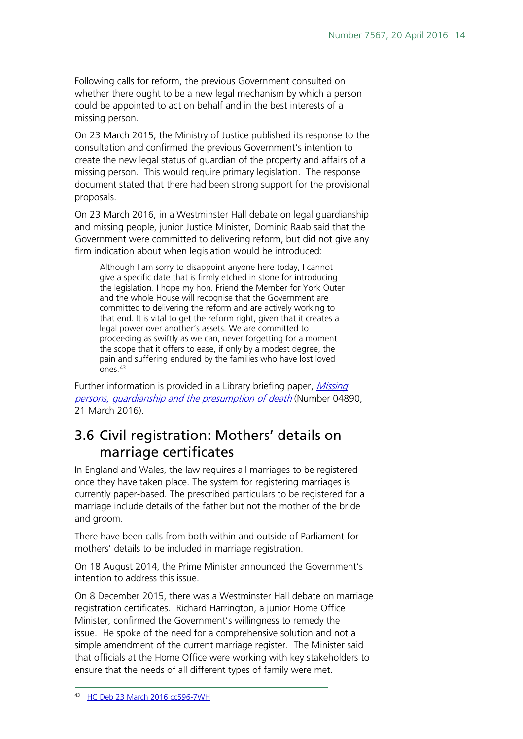Following calls for reform, the previous Government consulted on whether there ought to be a new legal mechanism by which a person could be appointed to act on behalf and in the best interests of a missing person.

On 23 March 2015, the Ministry of Justice published its response to the consultation and confirmed the previous Government's intention to create the new legal status of guardian of the property and affairs of a missing person. This would require primary legislation. The response document stated that there had been strong support for the provisional proposals.

On 23 March 2016, in a Westminster Hall debate on legal guardianship and missing people, junior Justice Minister, Dominic Raab said that the Government were committed to delivering reform, but did not give any firm indication about when legislation would be introduced:

Although I am sorry to disappoint anyone here today, I cannot give a specific date that is firmly etched in stone for introducing the legislation. I hope my hon. Friend the Member for York Outer and the whole House will recognise that the Government are committed to delivering the reform and are actively working to that end. It is vital to get the reform right, given that it creates a legal power over another's assets. We are committed to proceeding as swiftly as we can, never forgetting for a moment the scope that it offers to ease, if only by a modest degree, the pain and suffering endured by the families who have lost loved ones.[43](#page-13-1)

Further information is provided in a Library briefing paper, *Missing* persons, quardianship and the presumption of death (Number 04890, 21 March 2016).

# <span id="page-13-0"></span>3.6 Civil registration: Mothers' details on marriage certificates

In England and Wales, the law requires all marriages to be registered once they have taken place. The system for registering marriages is currently paper-based. The prescribed particulars to be registered for a marriage include details of the father but not the mother of the bride and groom.

There have been calls from both within and outside of Parliament for mothers' details to be included in marriage registration.

On 18 August 2014, the Prime Minister announced the Government's intention to address this issue.

<span id="page-13-1"></span>On 8 December 2015, there was a Westminster Hall debate on marriage registration certificates. Richard Harrington, a junior Home Office Minister, confirmed the Government's willingness to remedy the issue. He spoke of the need for a comprehensive solution and not a simple amendment of the current marriage register. The Minister said that officials at the Home Office were working with key stakeholders to ensure that the needs of all different types of family were met.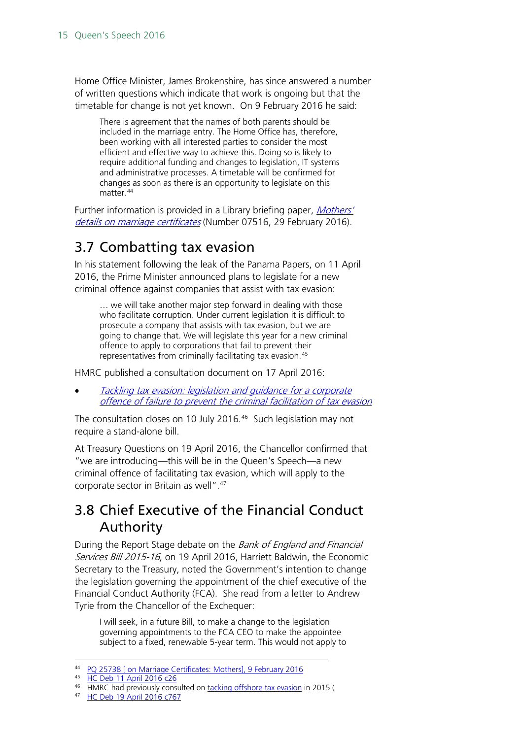Home Office Minister, James Brokenshire, has since answered a number of written questions which indicate that work is ongoing but that the timetable for change is not yet known. On 9 February 2016 he said:

There is agreement that the names of both parents should be included in the marriage entry. The Home Office has, therefore, been working with all interested parties to consider the most efficient and effective way to achieve this. Doing so is likely to require additional funding and changes to legislation, IT systems and administrative processes. A timetable will be confirmed for changes as soon as there is an opportunity to legislate on this matter.<sup>[44](#page-14-2)</sup>

Further information is provided in a Library briefing paper, Mothers' [details on marriage certificates](http://researchbriefings.parliament.uk/ResearchBriefing/Summary/CBP-7516) (Number 07516, 29 February 2016).

## <span id="page-14-0"></span>3.7 Combatting tax evasion

In his statement following the leak of the Panama Papers, on 11 April 2016, the Prime Minister announced plans to legislate for a new criminal offence against companies that assist with tax evasion:

… we will take another major step forward in dealing with those who facilitate corruption. Under current legislation it is difficult to prosecute a company that assists with tax evasion, but we are going to change that. We will legislate this year for a new criminal offence to apply to corporations that fail to prevent their representatives from criminally facilitating tax evasion.<sup>[45](#page-14-3)</sup>

HMRC published a consultation document on 17 April 2016:

• [Tackling tax evasion: legislation and guidance for a corporate](https://www.gov.uk/government/uploads/system/uploads/attachment_data/file/517020/Tackling_tax_evasion-legislation_guidance_corporate_offence_of_failure_to_prevent_criminal_facilitation_tax_evasion.pdf)  offence of [failure to prevent the](https://www.gov.uk/government/uploads/system/uploads/attachment_data/file/517020/Tackling_tax_evasion-legislation_guidance_corporate_offence_of_failure_to_prevent_criminal_facilitation_tax_evasion.pdf) criminal facilitation of tax evasion

The consultation closes on 10 July 2016.<sup>[46](#page-14-4)</sup> Such legislation may not require a stand-alone bill.

At Treasury Questions on 19 April 2016, the Chancellor confirmed that "we are introducing—this will be in the Queen's Speech—a new criminal offence of facilitating tax evasion, which will apply to the corporate sector in Britain as well". [47](#page-14-5)

# <span id="page-14-1"></span>3.8 Chief Executive of the Financial Conduct Authority

During the Report Stage debate on the Bank of England and Financial Services Bill 2015-16, on 19 April 2016, Harriett Baldwin, the Economic Secretary to the Treasury, noted the Government's intention to change the legislation governing the appointment of the chief executive of the Financial Conduct Authority (FCA). She read from a letter to Andrew Tyrie from the Chancellor of the Exchequer:

I will seek, in a future Bill, to make a change to the legislation governing appointments to the FCA CEO to make the appointee subject to a fixed, renewable 5-year term. This would not apply to

<span id="page-14-2"></span> <sup>44</sup> [PQ 25738 \[ on Marriage Certificates: Mothers\], 9 February 2016](http://www.parliament.uk/written-questions-answers-statements/written-question/commons/2016-02-03/25738)

<span id="page-14-3"></span><sup>45</sup> [HC Deb 11 April 2016 c26](http://goo.gl/ioWHrP)

<sup>46</sup> HMRC had previously consulted on [tacking offshore tax evasion](https://www.gov.uk/government/consultations/tackling-offshore-evasion) in 2015 (

<span id="page-14-5"></span><span id="page-14-4"></span><sup>47</sup> [HC Deb 19 April 2016 c767](http://goo.gl/AfHA0b)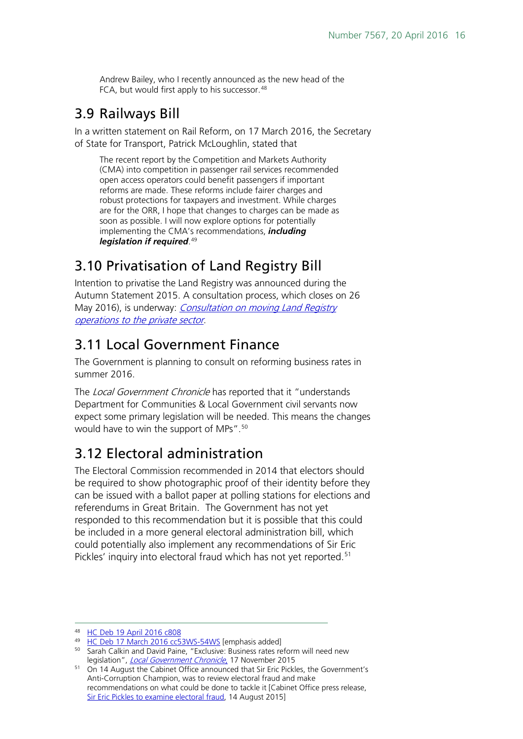Andrew Bailey, who I recently announced as the new head of the FCA, but would first apply to his successor.<sup>[48](#page-15-4)</sup>

## <span id="page-15-0"></span>3.9 Railways Bill

In a written statement on Rail Reform, on 17 March 2016, the Secretary of State for Transport, Patrick McLoughlin, stated that

The recent report by the Competition and Markets Authority (CMA) into competition in passenger rail services recommended open access operators could benefit passengers if important reforms are made. These reforms include fairer charges and robust protections for taxpayers and investment. While charges are for the ORR, I hope that changes to charges can be made as soon as possible. I will now explore options for potentially implementing the CMA's recommendations, *including legislation if required*. [49](#page-15-5)

# <span id="page-15-1"></span>3.10 Privatisation of Land Registry Bill

Intention to privatise the Land Registry was announced during the Autumn Statement 2015. A consultation process, which closes on 26 May 2016), is underway: *Consultation on moving Land Registry* [operations to the private sector](https://www.gov.uk/government/uploads/system/uploads/attachment_data/file/510987/BIS-16-165-consultation-on-moving-land-registry-operations-to-the-private-sector.pdf).

# <span id="page-15-2"></span>3.11 Local Government Finance

The Government is planning to consult on reforming business rates in summer 2016.

The Local Government Chronicle has reported that it "understands" Department for Communities & Local Government civil servants now expect some primary legislation will be needed. This means the changes would have to win the support of MPs".<sup>[50](#page-15-6)</sup>

# <span id="page-15-3"></span>3.12 Electoral administration

The Electoral Commission recommended in 2014 that electors should be required to show photographic proof of their identity before they can be issued with a ballot paper at polling stations for elections and referendums in Great Britain. The Government has not yet responded to this recommendation but it is possible that this could be included in a more general electoral administration bill, which could potentially also implement any recommendations of Sir Eric Pickles' inquiry into electoral fraud which has not yet reported.<sup>[51](#page-15-7)</sup>

<span id="page-15-4"></span> <sup>48</sup> [HC Deb 19 April 2016 c808](http://goo.gl/qSVPOZ)

<span id="page-15-5"></span><sup>&</sup>lt;sup>49</sup> [HC Deb 17 March 2016 cc53WS-54WS](http://www.publications.parliament.uk/pa/cm201516/cmhansrd/cm160317/wmstext/160317m0001.htm#16031732000008) [emphasis added]

<span id="page-15-6"></span><sup>50</sup> Sarah Calkin and David Paine, "Exclusive: Business rates reform will need new legislation", *[Local Government Chronicle](http://www.lgcplus.com/politics-and-policy/finance/exclusive-business-rates-reform-will-need-new-legislation/7000232.article)*, 17 November 2015

<span id="page-15-7"></span><sup>51</sup> On 14 August the Cabinet Office announced that Sir Eric Pickles, the Government's Anti-Corruption Champion, was to review electoral fraud and make recommendations on what could be done to tackle it [Cabinet Office press release, [Sir Eric Pickles to examine electoral fraud,](http://www.wired-gov.net/wg/news.nsf/articles/DNWA-9ZCCWL) 14 August 2015]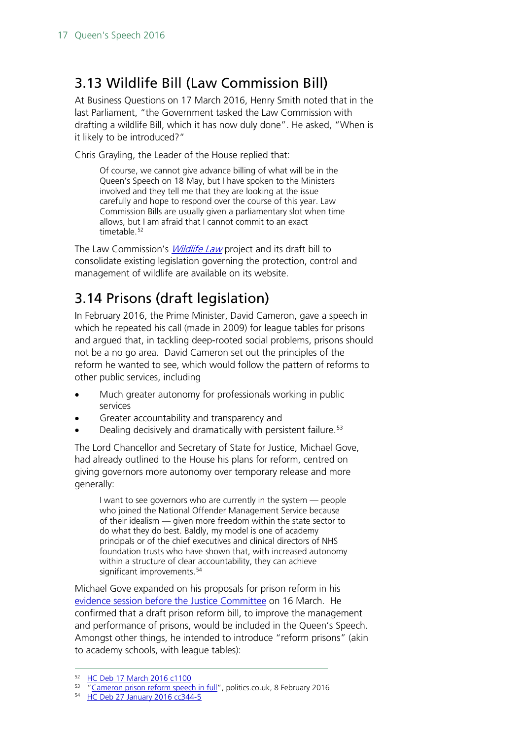# <span id="page-16-0"></span>3.13 Wildlife Bill (Law Commission Bill)

At Business Questions on 17 March 2016, Henry Smith noted that in the last Parliament, "the Government tasked the Law Commission with drafting a wildlife Bill, which it has now duly done". He asked, "When is it likely to be introduced?"

Chris Grayling, the Leader of the House replied that:

Of course, we cannot give advance billing of what will be in the Queen's Speech on 18 May, but I have spoken to the Ministers involved and they tell me that they are looking at the issue carefully and hope to respond over the course of this year. Law Commission Bills are usually given a parliamentary slot when time allows, but I am afraid that I cannot commit to an exact timetable.<sup>[52](#page-16-2)</sup>

The Law Commission's *[Wildlife Law](http://www.lawcom.gov.uk/project/wildlife-law/)* project and its draft bill to consolidate existing legislation governing the protection, control and management of wildlife are available on its website.

# <span id="page-16-1"></span>3.14 Prisons (draft legislation)

In February 2016, the Prime Minister, David Cameron, gave a speech in which he repeated his call (made in 2009) for league tables for prisons and argued that, in tackling deep-rooted social problems, prisons should not be a no go area. David Cameron set out the principles of the reform he wanted to see, which would follow the pattern of reforms to other public services, including

- Much greater autonomy for professionals working in public services
- Greater accountability and transparency and
- Dealing decisively and dramatically with persistent failure.<sup>[53](#page-16-3)</sup>

The Lord Chancellor and Secretary of State for Justice, Michael Gove, had already outlined to the House his plans for reform, centred on giving governors more autonomy over temporary release and more generally:

I want to see governors who are currently in the system — people who joined the National Offender Management Service because of their idealism — given more freedom within the state sector to do what they do best. Baldly, my model is one of academy principals or of the chief executives and clinical directors of NHS foundation trusts who have shown that, with increased autonomy within a structure of clear accountability, they can achieve significant improvements.<sup>[54](#page-16-4)</sup>

Michael Gove expanded on his proposals for prison reform in his [evidence session before the Justice Committee](http://www.parliament.uk/business/committees/committees-a-z/commons-select/justice-committee/news-parliament-20151/prison-reform-evidence-15-16/) on 16 March. He confirmed that a draft prison reform bill, to improve the management and performance of prisons, would be included in the Queen's Speech. Amongst other things, he intended to introduce "reform prisons" (akin to academy schools, with league tables):

<span id="page-16-2"></span> <sup>52</sup> [HC Deb 17 March 2016 c1100](http://goo.gl/isY2od)

<span id="page-16-4"></span><span id="page-16-3"></span><sup>53</sup> ["Cameron prison reform speech in full"](http://www.politics.co.uk/comment-analysis/2016/02/08/cameron-prison-reform-speech-in-full), politics.co.uk, 8 February 2016

<sup>54</sup> [HC Deb 27 January](http://www.publications.parliament.uk/pa/cm201516/cmhansrd/cm160127/debtext/160127-0003.htm) 2016 cc344-5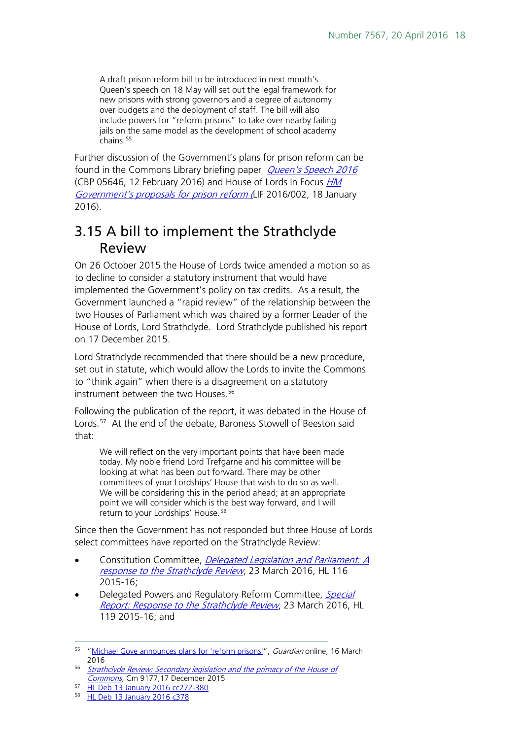A draft prison reform bill to be introduced in next month's Queen's speech on 18 May will set out the legal framework for new prisons with strong governors and a degree of autonomy over budgets and the deployment of staff. The bill will also include powers for "reform prisons" to take over nearby failing jails on the same model as the development of school academy chains.<sup>[55](#page-17-1)</sup>

Further discussion of the Government's plans for prison reform can be found in the Commons Library briefing paper *[Queen's Speech 2016](http://researchbriefings.files.parliament.uk/documents/SN05646/SN05646.pdf)* (CBP 05646, 12 February 2016) and House of Lords In Focus HM [Government's proposals for prison reform](http://researchbriefings.intranet.parliament.uk/ResearchBriefing/Summary/LIF-2016-0002) (LIF 2016/002, 18 January 2016).

# <span id="page-17-0"></span>3.15 A bill to implement the Strathclyde Review

On 26 October 2015 the House of Lords twice amended a motion so as to decline to consider a statutory instrument that would have implemented the Government's policy on tax credits. As a result, the Government launched a "rapid review" of the relationship between the two Houses of Parliament which was chaired by a former Leader of the House of Lords, Lord Strathclyde. Lord Strathclyde published his report on 17 December 2015.

Lord Strathclyde recommended that there should be a new procedure, set out in statute, which would allow the Lords to invite the Commons to "think again" when there is a disagreement on a statutory instrument between the two Houses.<sup>[56](#page-17-2)</sup>

Following the publication of the report, it was debated in the House of Lords.<sup>57</sup> At the end of the debate, Baroness Stowell of Beeston said that:

We will reflect on the very important points that have been made today. My noble friend Lord Trefgarne and his committee will be looking at what has been put forward. There may be other committees of your Lordships' House that wish to do so as well. We will be considering this in the period ahead; at an appropriate point we will consider which is the best way forward, and I will return to your Lordships' House.<sup>[58](#page-17-4)</sup>

Since then the Government has not responded but three House of Lords select committees have reported on the Strathclyde Review:

- Constitution Committee, *Delegated Legislation and Parliament: A* [response to the Strathclyde Review](http://www.publications.parliament.uk/pa/ld201516/ldselect/ldconst/116/116.pdf), 23 March 2016, HL 116 2015-16;
- Delegated Powers and Regulatory Reform Committee, Special [Report: Response to the Strathclyde Review](http://www.publications.parliament.uk/pa/ld201516/ldselect/lddelreg/119/119.pdf), 23 March 2016, HL 119 2015-16; and

<span id="page-17-1"></span><sup>&</sup>lt;sup>55</sup> ["Michael Gove announces plans for 'reform prisons'"](http://www.theguardian.com/society/2016/mar/16/michael-gove-announces-plans-for-reform-prisons), Guardian online, 16 March 2016

<span id="page-17-2"></span><sup>56</sup> Strathclyde Review: Secondary legislation and the primacy of the House of [Commons,](https://www.gov.uk/government/publications/strathclyde-review-secondary-legislation-and-the-primacy-of-the-house-of-commons) Cm 9177,17 December 2015

<span id="page-17-3"></span><sup>57</sup> [HL Deb 13 January 2016](http://www.publications.parliament.uk/pa/ld201516/ldhansrd/text/160113-0001.htm#16011323000243) cc272-380

<span id="page-17-4"></span><sup>58</sup> [HL Deb 13 January 2016 c378](http://www.publications.parliament.uk/pa/ld201516/ldhansrd/text/160113-0003.htm#1601144000088)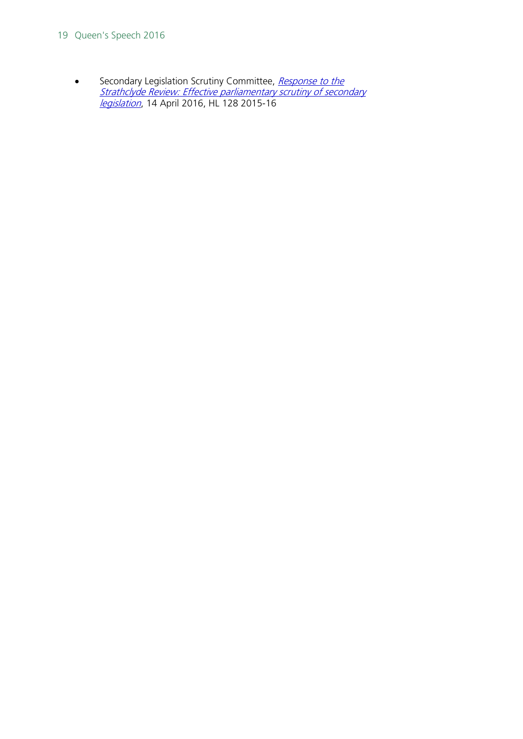#### 19 Queen's Speech 2016

• Secondary Legislation Scrutiny Committee, Response to the [Strathclyde Review: Effective parliamentary scrutiny of secondary](http://www.publications.parliament.uk/pa/ld201516/ldselect/ldsecleg/128/128.pdf)  *[legislation](http://www.publications.parliament.uk/pa/ld201516/ldselect/ldsecleg/128/128.pdf)*, 14 April 2016, HL 128 2015-16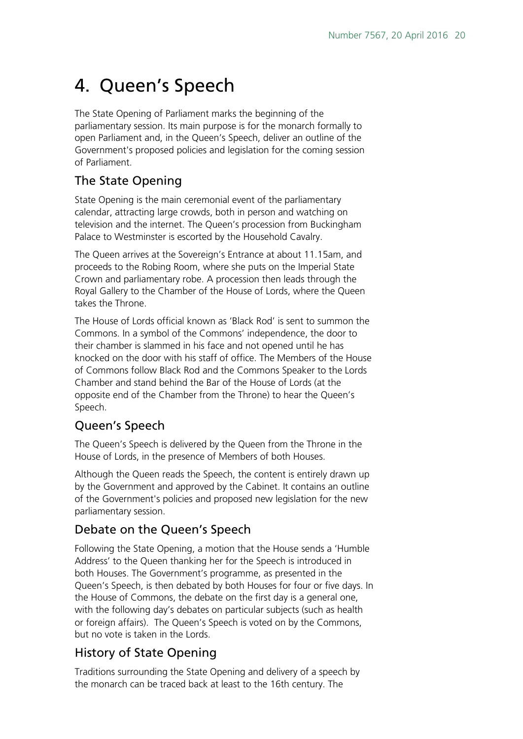# <span id="page-19-0"></span>4. Queen's Speech

The State Opening of Parliament marks the beginning of the parliamentary session. Its main purpose is for the monarch formally to open Parliament and, in the Queen's Speech, deliver an outline of the Government's proposed policies and legislation for the coming session of Parliament.

### The State Opening

State Opening is the main ceremonial event of the parliamentary calendar, attracting large crowds, both in person and watching on television and the internet. The Queen's procession from Buckingham Palace to Westminster is escorted by the Household Cavalry.

The Queen arrives at the Sovereign's Entrance at about 11.15am, and proceeds to the Robing Room, where she puts on the Imperial State Crown and parliamentary robe. A procession then leads through the Royal Gallery to the Chamber of the House of Lords, where the Queen takes the Throne.

The House of Lords official known as 'Black Rod' is sent to summon the Commons. In a symbol of the Commons' independence, the door to their chamber is slammed in his face and not opened until he has knocked on the door with his staff of office. The Members of the House of Commons follow Black Rod and the Commons Speaker to the Lords Chamber and stand behind the Bar of the House of Lords (at the opposite end of the Chamber from the Throne) to hear the Queen's Speech.

### Queen's Speech

The Queen's Speech is delivered by the Queen from the Throne in the House of Lords, in the presence of Members of both Houses.

Although the Queen reads the Speech, the content is entirely drawn up by the Government and approved by the Cabinet. It contains an outline of the Government's policies and proposed new legislation for the new parliamentary session.

### Debate on the Queen's Speech

Following the State Opening, a motion that the House sends a 'Humble Address' to the Queen thanking her for the Speech is introduced in both Houses. The Government's programme, as presented in the Queen's Speech, is then debated by both Houses for four or five days. In the House of Commons, the debate on the first day is a general one, with the following day's debates on particular subjects (such as health or foreign affairs). The Queen's Speech is voted on by the Commons, but no vote is taken in the Lords.

### History of State Opening

Traditions surrounding the State Opening and delivery of a speech by the monarch can be traced back at least to the 16th century. The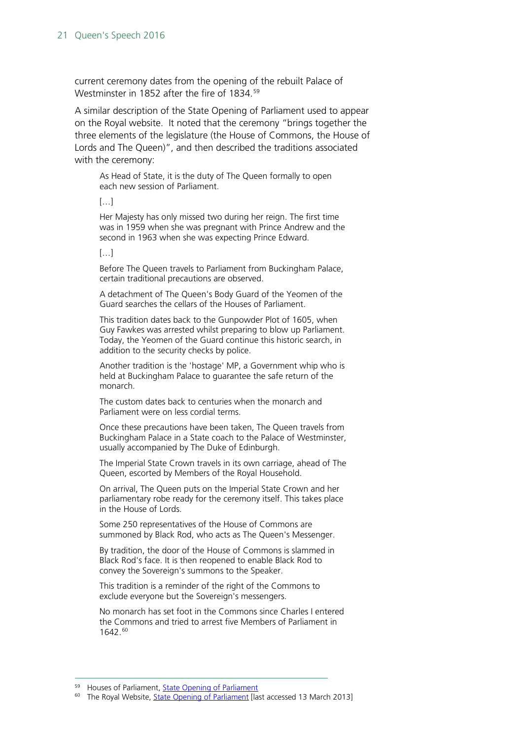current ceremony dates from the opening of the rebuilt Palace of Westminster in 1852 after the fire of 1834.<sup>59</sup>

A similar description of the State Opening of Parliament used to appear on the Royal website. It noted that the ceremony "brings together the three elements of the legislature (the House of Commons, the House of Lords and The Queen)", and then described the traditions associated with the ceremony:

As Head of State, it is the duty of The Queen formally to open each new session of Parliament.

 $[$ ... $]$ 

Her Majesty has only missed two during her reign. The first time was in 1959 when she was pregnant with Prince Andrew and the second in 1963 when she was expecting Prince Edward.

[…]

Before The Queen travels to Parliament from Buckingham Palace, certain traditional precautions are observed.

A detachment of The Queen's Body Guard of the Yeomen of the Guard searches the cellars of the Houses of Parliament.

This tradition dates back to the Gunpowder Plot of 1605, when Guy Fawkes was arrested whilst preparing to blow up Parliament. Today, the Yeomen of the Guard continue this historic search, in addition to the security checks by police.

Another tradition is the 'hostage' MP, a Government whip who is held at Buckingham Palace to guarantee the safe return of the monarch.

The custom dates back to centuries when the monarch and Parliament were on less cordial terms.

Once these precautions have been taken, The Queen travels from Buckingham Palace in a State coach to the Palace of Westminster, usually accompanied by The Duke of Edinburgh.

The Imperial State Crown travels in its own carriage, ahead of The Queen, escorted by Members of the Royal Household.

On arrival, The Queen puts on the Imperial State Crown and her parliamentary robe ready for the ceremony itself. This takes place in the House of Lords.

Some 250 representatives of the House of Commons are summoned by Black Rod, who acts as The Queen's Messenger.

By tradition, the door of the House of Commons is slammed in Black Rod's face. It is then reopened to enable Black Rod to convey the Sovereign's summons to the Speaker.

This tradition is a reminder of the right of the Commons to exclude everyone but the Sovereign's messengers.

No monarch has set foot in the Commons since Charles I entered the Commons and tried to arrest five Members of Parliament in 1642.[60](#page-20-1)

<span id="page-20-1"></span><span id="page-20-0"></span><sup>&</sup>lt;sup>59</sup> Houses of Parliament, *State Opening of Parliament* [Iast accessed 13 March 2013]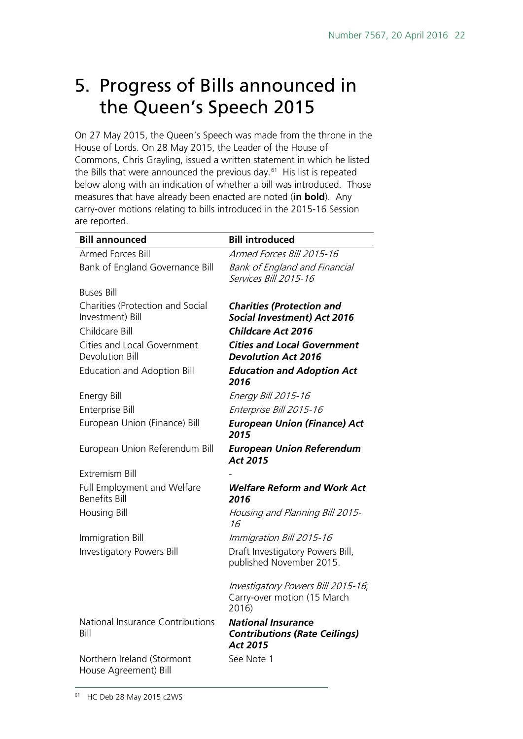# <span id="page-21-0"></span>5. Progress of Bills announced in the Queen's Speech 2015

On 27 May 2015, the Queen's Speech was made from the throne in the House of Lords. On 28 May 2015, the Leader of the House of Commons, Chris Grayling, issued a written statement in which he listed the Bills that were announced the previous day. $61$  His list is repeated below along with an indication of whether a bill was introduced. Those measures that have already been enacted are noted (**in bold**). Any carry-over motions relating to bills introduced in the 2015-16 Session are reported.

<span id="page-21-1"></span>

| <b>Bill announced</b>                                | <b>Bill introduced</b>                                                        |
|------------------------------------------------------|-------------------------------------------------------------------------------|
| Armed Forces Bill                                    | Armed Forces Bill 2015-16                                                     |
| Bank of England Governance Bill                      | <b>Bank of England and Financial</b><br>Services Bill 2015-16                 |
| <b>Buses Bill</b>                                    |                                                                               |
| Charities (Protection and Social<br>Investment) Bill | <b>Charities (Protection and</b><br><b>Social Investment) Act 2016</b>        |
| Childcare Bill                                       | <b>Childcare Act 2016</b>                                                     |
| Cities and Local Government<br>Devolution Bill       | <b>Cities and Local Government</b><br><b>Devolution Act 2016</b>              |
| <b>Education and Adoption Bill</b>                   | <b>Education and Adoption Act</b><br>2016                                     |
| Energy Bill                                          | Energy Bill 2015-16                                                           |
| Enterprise Bill                                      | Enterprise Bill 2015-16                                                       |
| European Union (Finance) Bill                        | <b>European Union (Finance) Act</b><br>2015                                   |
| European Union Referendum Bill                       | <b>European Union Referendum</b><br>Act 2015                                  |
| <b>Extremism Bill</b>                                |                                                                               |
| Full Employment and Welfare<br><b>Benefits Bill</b>  | <b>Welfare Reform and Work Act</b><br>2016                                    |
| <b>Housing Bill</b>                                  | Housing and Planning Bill 2015-<br>16                                         |
| Immigration Bill                                     | Immigration Bill 2015-16                                                      |
| <b>Investigatory Powers Bill</b>                     | Draft Investigatory Powers Bill,<br>published November 2015.                  |
|                                                      | Investigatory Powers Bill 2015-16;<br>Carry-over motion (15 March<br>2016)    |
| National Insurance Contributions<br>Bill             | <b>National Insurance</b><br><b>Contributions (Rate Ceilings)</b><br>Act 2015 |
| Northern Ireland (Stormont<br>House Agreement) Bill  | See Note 1                                                                    |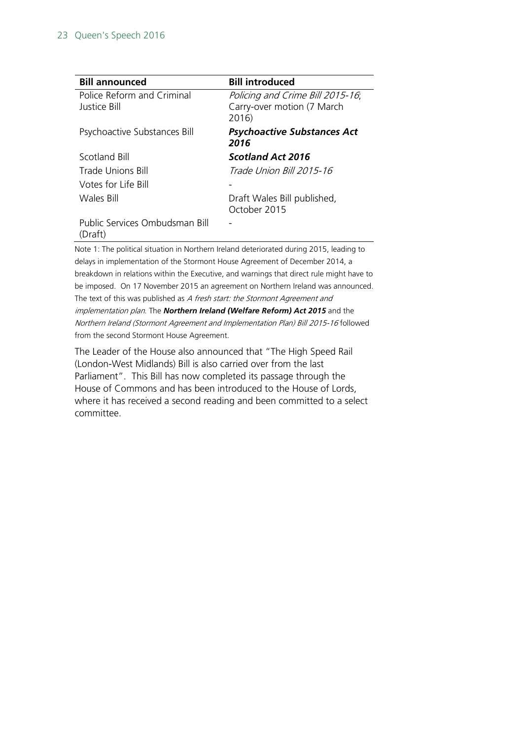| <b>Bill announced</b>                      | <b>Bill introduced</b>                                                  |
|--------------------------------------------|-------------------------------------------------------------------------|
| Police Reform and Criminal<br>Justice Bill | Policing and Crime Bill 2015-16;<br>Carry-over motion (7 March<br>2016) |
| Psychoactive Substances Bill               | <b>Psychoactive Substances Act</b><br>2016                              |
| Scotland Bill                              | <b>Scotland Act 2016</b>                                                |
| Trade Unions Bill                          | Trade Union Bill 2015-16                                                |
| Votes for Life Bill                        |                                                                         |
| Wales Bill                                 | Draft Wales Bill published,<br>October 2015                             |
| Public Services Ombudsman Bill<br>(Draft)  |                                                                         |
|                                            |                                                                         |

Note 1: The political situation in Northern Ireland deteriorated during 2015, leading to delays in implementation of the Stormont House Agreement of December 2014, a breakdown in relations within the Executive, and warnings that direct rule might have to be imposed. On 17 November 2015 an agreement on Northern Ireland was announced. The text of this was published as A fresh start: the Stormont Agreement and implementation plan. The *Northern Ireland (Welfare Reform) Act 2015* and the Northern Ireland (Stormont Agreement and Implementation Plan) Bill 2015-16 followed from the second Stormont House Agreement.

The Leader of the House also announced that "The High Speed Rail (London-West Midlands) Bill is also carried over from the last Parliament". This Bill has now completed its passage through the House of Commons and has been introduced to the House of Lords, where it has received a second reading and been committed to a select committee.